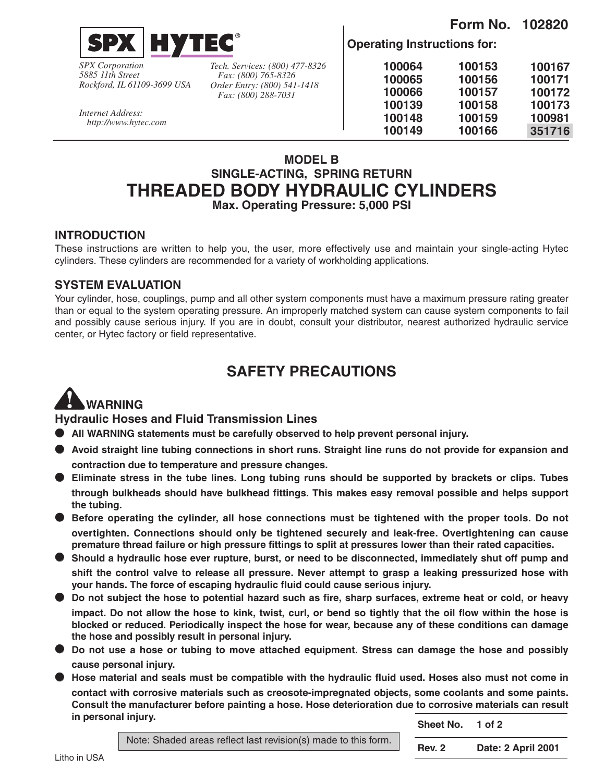

*SPX Corporation 5885 11th Street Rockford, IL 61109-3699 USA*

*Internet Address: http://www.hytec.com*

*Tech. Services: (800) 477-8326 Fax: (800) 765-8326 Order Entry: (800) 541-1418 Fax: (800) 288-7031*

**Operating Instructions for:**

| 100064 | 100153 | 100167 |
|--------|--------|--------|
| 100065 | 100156 | 100171 |
| 100066 | 100157 | 100172 |
| 100139 | 100158 | 100173 |
| 100148 | 100159 | 100981 |
| 100149 | 100166 | 351716 |
|        |        |        |

**Form No. 102820**

## **MODEL B SINGLE-ACTING, SPRING RETURN THREADED BODY HYDRAULIC CYLINDERS Max. Operating Pressure: 5,000 PSI**

### **INTRODUCTION**

These instructions are written to help you, the user, more effectively use and maintain your single-acting Hytec cylinders. These cylinders are recommended for a variety of workholding applications.

### **SYSTEM EVALUATION**

Your cylinder, hose, couplings, pump and all other system components must have a maximum pressure rating greater than or equal to the system operating pressure. An improperly matched system can cause system components to fail and possibly cause serious injury. If you are in doubt, consult your distributor, nearest authorized hydraulic service center, or Hytec factory or field representative.

## **SAFETY PRECAUTIONS**

# **WARNING**

**Hydraulic Hoses and Fluid Transmission Lines**

- **All WARNING statements must be carefully observed to help prevent personal injury.**
- **Avoid straight line tubing connections in short runs. Straight line runs do not provide for expansion and contraction due to temperature and pressure changes.**
- **Eliminate stress in the tube lines. Long tubing runs should be supported by brackets or clips. Tubes through bulkheads should have bulkhead fittings. This makes easy removal possible and helps support the tubing.**
- **Before operating the cylinder, all hose connections must be tightened with the proper tools. Do not overtighten. Connections should only be tightened securely and leak-free. Overtightening can cause premature thread failure or high pressure fittings to split at pressures lower than their rated capacities.**
- **Should a hydraulic hose ever rupture, burst, or need to be disconnected, immediately shut off pump and shift the control valve to release all pressure. Never attempt to grasp a leaking pressurized hose with your hands. The force of escaping hydraulic fluid could cause serious injury.**
- **Do not subject the hose to potential hazard such as fire, sharp surfaces, extreme heat or cold, or heavy impact. Do not allow the hose to kink, twist, curl, or bend so tightly that the oil flow within the hose is blocked or reduced. Periodically inspect the hose for wear, because any of these conditions can damage the hose and possibly result in personal injury.**
- **Do not use a hose or tubing to move attached equipment. Stress can damage the hose and possibly cause personal injury.**
- **Hose material and seals must be compatible with the hydraulic fluid used. Hoses also must not come in contact with corrosive materials such as creosote-impregnated objects, some coolants and some paints. Consult the manufacturer before painting a hose. Hose deterioration due to corrosive materials can result in personal injury.**

**Sheet No. 1 of 2**

Note: Shaded areas reflect last revision(s) made to this form. **Rev. 2 Date: 2 April 2001**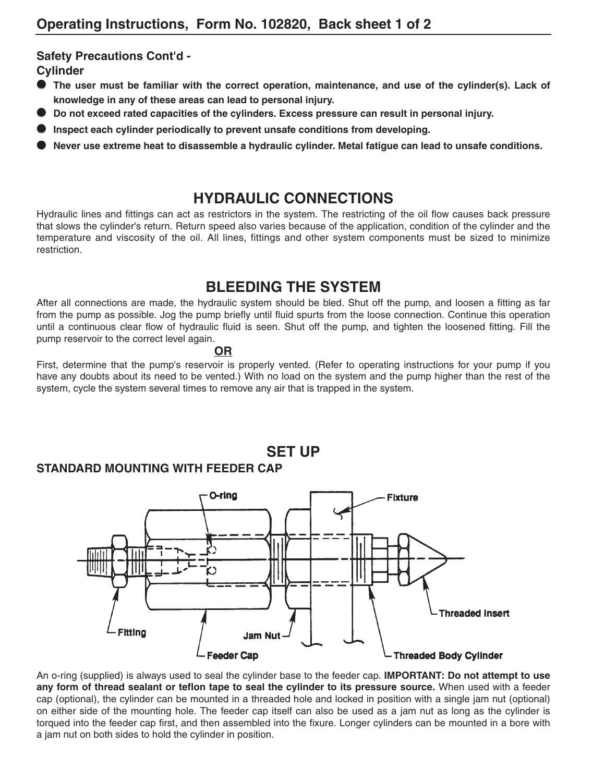### **Safety Precautions Cont'd -**

**Cylinder**

- **The user must be familiar with the correct operation, maintenance, and use of the cylinder(s). Lack of knowledge in any of these areas can lead to personal injury.**
- **Do not exceed rated capacities of the cylinders. Excess pressure can result in personal injury.**
- Inspect each cylinder periodically to prevent unsafe conditions from developing.
- **Never use extreme heat to disassemble a hydraulic cylinder. Metal fatigue can lead to unsafe conditions.**

## **HYDRAULIC CONNECTIONS**

Hydraulic lines and fittings can act as restrictors in the system. The restricting of the oil flow causes back pressure that slows the cylinder's return. Return speed also varies because of the application, condition of the cylinder and the temperature and viscosity of the oil. All lines, fittings and other system components must be sized to minimize restriction.

## **BLEEDING THE SYSTEM**

After all connections are made, the hydraulic system should be bled. Shut off the pump, and loosen a fitting as far from the pump as possible. Jog the pump briefly until fluid spurts from the loose connection. Continue this operation until a continuous clear flow of hydraulic fluid is seen. Shut off the pump, and tighten the loosened fitting. Fill the pump reservoir to the correct level again.

#### **OR**

First, determine that the pump's reservoir is properly vented. (Refer to operating instructions for your pump if you have any doubts about its need to be vented.) With no load on the system and the pump higher than the rest of the system, cycle the system several times to remove any air that is trapped in the system.



An o-ring (supplied) is always used to seal the cylinder base to the feeder cap. **IMPORTANT: Do not attempt to use any form of thread sealant or teflon tape to seal the cylinder to its pressure source.** When used with a feeder cap (optional), the cylinder can be mounted in a threaded hole and locked in position with a single jam nut (optional) on either side of the mounting hole. The feeder cap itself can also be used as a jam nut as long as the cylinder is torqued into the feeder cap first, and then assembled into the fixure. Longer cylinders can be mounted in a bore with a jam nut on both sides to hold the cylinder in position.

## **SET UP**

## **STANDARD MOUNTING WITH FEEDER CAP**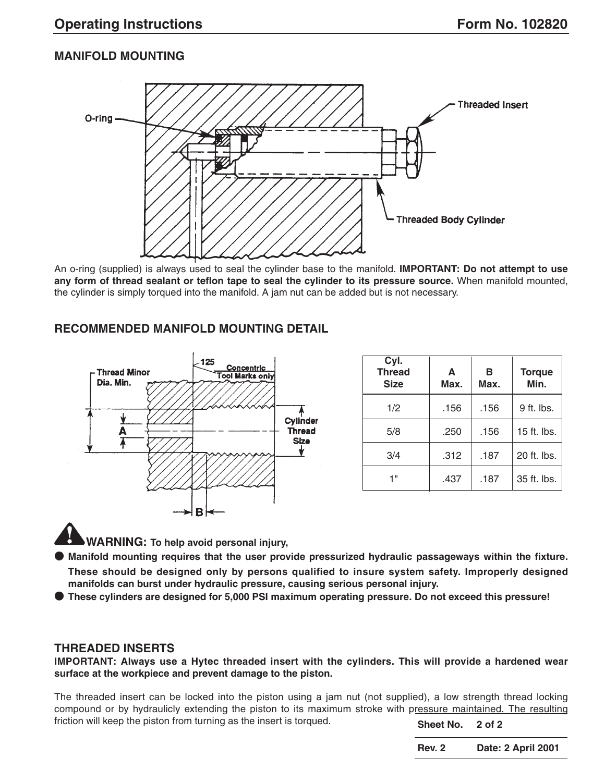### **MANIFOLD MOUNTING**



An o-ring (supplied) is always used to seal the cylinder base to the manifold. **IMPORTANT: Do not attempt to use any form of thread sealant or teflon tape to seal the cylinder to its pressure source.** When manifold mounted, the cylinder is simply torqued into the manifold. A jam nut can be added but is not necessary.

### **RECOMMENDED MANIFOLD MOUNTING DETAIL**



| Cyl.<br><b>Thread</b><br><b>Size</b> | A<br>Max. | в<br>Max. | <b>Torque</b><br>Min. |
|--------------------------------------|-----------|-----------|-----------------------|
| 1/2                                  | .156      | .156      | $9$ ft. lbs.          |
| 5/8                                  | .250      | .156      | 15 ft. lbs.           |
| 3/4                                  | .312      | .187      | 20 ft. lbs.           |
| 4 11                                 | .437      | .187      | 35 ft. lbs.           |

**WARNING: To help avoid personal injury,**

● **Manifold mounting requires that the user provide pressurized hydraulic passageways within the fixture. These should be designed only by persons qualified to insure system safety. Improperly designed manifolds can burst under hydraulic pressure, causing serious personal injury.**

● **These cylinders are designed for 5,000 PSI maximum operating pressure. Do not exceed this pressure!**

### **THREADED INSERTS**

**IMPORTANT: Always use a Hytec threaded insert with the cylinders. This will provide a hardened wear surface at the workpiece and prevent damage to the piston.** 

The threaded insert can be locked into the piston using a jam nut (not supplied), a low strength thread locking compound or by hydraulicly extending the piston to its maximum stroke with pressure maintained. The resulting friction will keep the piston from turning as the insert is torqued. **Sheet No. 2 of 2**

**Rev. 2 Date: 2 April 2001**